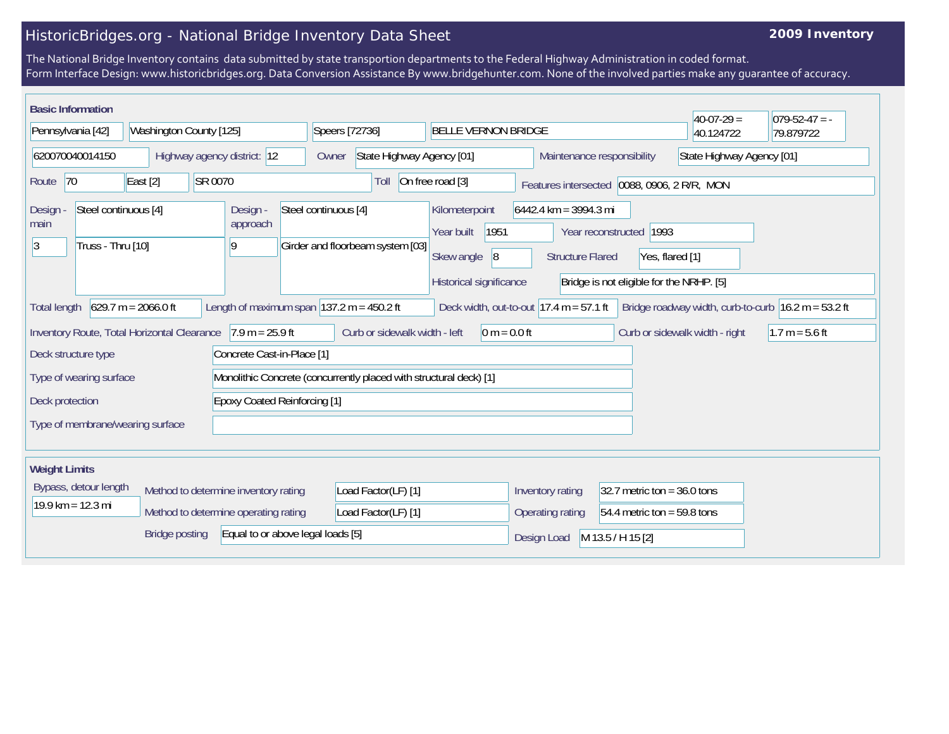## HistoricBridges.org - National Bridge Inventory Data Sheet

## **2009 Inventory**

The National Bridge Inventory contains data submitted by state transportion departments to the Federal Highway Administration in coded format. Form Interface Design: www.historicbridges.org. Data Conversion Assistance By www.bridgehunter.com. None of the involved parties make any guarantee of accuracy.

| <b>Basic Information</b>                                                                                                                                                                                                     |  |                             |                            |                                                                         |                                                                    |                                                                                     |                                                                                                                                              |                             |                               | $ 40-07-29 $              | $ 079-52-47 = -$ |
|------------------------------------------------------------------------------------------------------------------------------------------------------------------------------------------------------------------------------|--|-----------------------------|----------------------------|-------------------------------------------------------------------------|--------------------------------------------------------------------|-------------------------------------------------------------------------------------|----------------------------------------------------------------------------------------------------------------------------------------------|-----------------------------|-------------------------------|---------------------------|------------------|
| Pennsylvania [42]                                                                                                                                                                                                            |  | Washington County [125]     |                            |                                                                         |                                                                    | Speers [72736]<br><b>BELLE VERNON BRIDGE</b>                                        |                                                                                                                                              |                             |                               | 40.124722                 | 79.879722        |
| 620070040014150                                                                                                                                                                                                              |  | Highway agency district: 12 |                            | Owner                                                                   | State Highway Agency [01]                                          |                                                                                     |                                                                                                                                              | Maintenance responsibility  |                               | State Highway Agency [01] |                  |
| East [2]<br>SR 0070<br> 70<br>Route                                                                                                                                                                                          |  |                             |                            | On free road [3]<br>Toll<br>Features intersected 0088, 0906, 2 R/R, MON |                                                                    |                                                                                     |                                                                                                                                              |                             |                               |                           |                  |
| Steel continuous [4]<br>Design -<br>main<br> 3 <br>Truss - Thru [10]                                                                                                                                                         |  |                             | Design -<br>approach<br>19 | Steel continuous [4]<br>Girder and floorbeam system [03]                |                                                                    | Kilometerpoint<br>1951<br>Year built<br>Skew angle<br> 8<br>Historical significance | 6442.4 km = 3994.3 mi<br>Year reconstructed   1993<br><b>Structure Flared</b><br>Yes, flared [1]<br>Bridge is not eligible for the NRHP. [5] |                             |                               |                           |                  |
| $629.7 m = 2066.0 ft$<br>Length of maximum span $ 137.2 \text{ m} = 450.2 \text{ ft} $<br>Deck width, out-to-out $17.4 \text{ m} = 57.1 \text{ ft}$<br>Bridge roadway width, curb-to-curb $16.2 m = 53.2 ft$<br>Total length |  |                             |                            |                                                                         |                                                                    |                                                                                     |                                                                                                                                              |                             |                               |                           |                  |
| $7.9 m = 25.9 ft$<br>Curb or sidewalk width - left<br>$0 m = 0.0 ft$<br>Inventory Route, Total Horizontal Clearance<br>Curb or sidewalk width - right<br>$1.7 m = 5.6 ft$                                                    |  |                             |                            |                                                                         |                                                                    |                                                                                     |                                                                                                                                              |                             |                               |                           |                  |
| Deck structure type<br>Concrete Cast-in-Place [1]                                                                                                                                                                            |  |                             |                            |                                                                         |                                                                    |                                                                                     |                                                                                                                                              |                             |                               |                           |                  |
| Type of wearing surface                                                                                                                                                                                                      |  |                             |                            |                                                                         | Monolithic Concrete (concurrently placed with structural deck) [1] |                                                                                     |                                                                                                                                              |                             |                               |                           |                  |
| <b>Epoxy Coated Reinforcing [1]</b><br>Deck protection                                                                                                                                                                       |  |                             |                            |                                                                         |                                                                    |                                                                                     |                                                                                                                                              |                             |                               |                           |                  |
| Type of membrane/wearing surface                                                                                                                                                                                             |  |                             |                            |                                                                         |                                                                    |                                                                                     |                                                                                                                                              |                             |                               |                           |                  |
| <b>Weight Limits</b>                                                                                                                                                                                                         |  |                             |                            |                                                                         |                                                                    |                                                                                     |                                                                                                                                              |                             |                               |                           |                  |
| Bypass, detour length                                                                                                                                                                                                        |  |                             |                            | Method to determine inventory rating                                    |                                                                    | Load Factor(LF) [1]                                                                 |                                                                                                                                              | Inventory rating            | 32.7 metric ton = $36.0$ tons |                           |                  |
| $19.9$ km = 12.3 mi<br>Method to determine operating rating                                                                                                                                                                  |  |                             |                            |                                                                         | Load Factor(LF) [1]                                                |                                                                                     | Operating rating                                                                                                                             | 54.4 metric ton = 59.8 tons |                               |                           |                  |
| Equal to or above legal loads [5]<br><b>Bridge posting</b>                                                                                                                                                                   |  |                             |                            |                                                                         |                                                                    |                                                                                     | M 13.5 / H 15 [2]                                                                                                                            |                             |                               |                           |                  |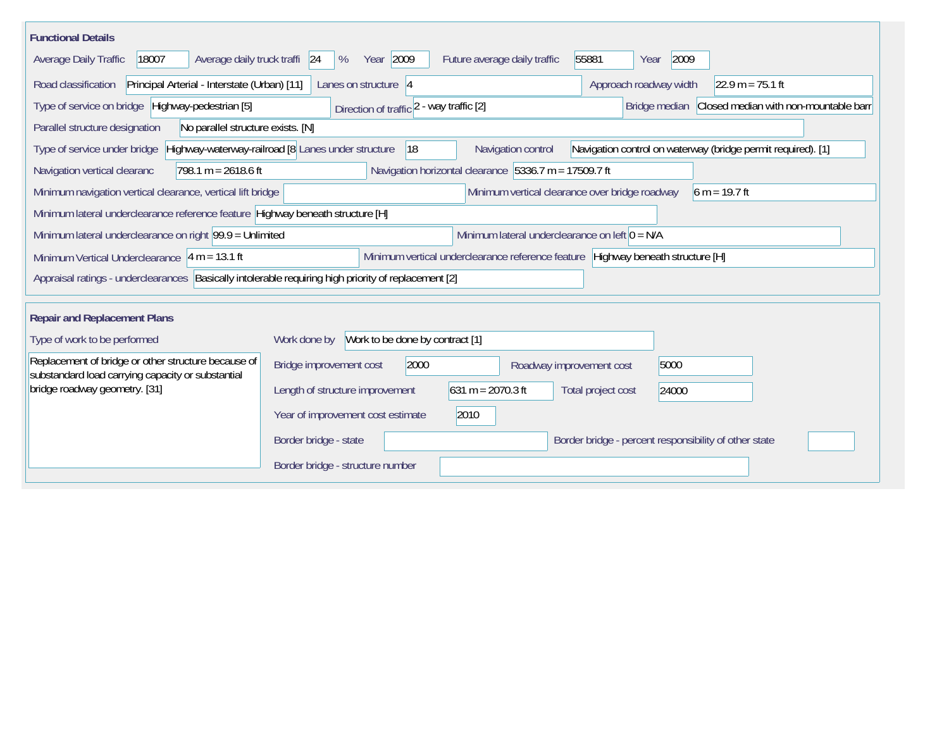| <b>Functional Details</b>                                                                                                                                                      |                                                                                       |  |  |  |  |  |  |  |  |  |
|--------------------------------------------------------------------------------------------------------------------------------------------------------------------------------|---------------------------------------------------------------------------------------|--|--|--|--|--|--|--|--|--|
| 18007<br>Average daily truck traffi 24<br><b>Average Daily Traffic</b>                                                                                                         | Year 2009<br>55881<br>2009<br>Future average daily traffic<br>%<br>Year               |  |  |  |  |  |  |  |  |  |
| Principal Arterial - Interstate (Urban) [11]<br>$22.9 m = 75.1 ft$<br>Road classification<br>Lanes on structure 4<br>Approach roadway width                                    |                                                                                       |  |  |  |  |  |  |  |  |  |
| Type of service on bridge Highway-pedestrian [5]<br>Closed median with non-mountable barr<br>Direction of traffic 2 - way traffic [2]<br>Bridge median                         |                                                                                       |  |  |  |  |  |  |  |  |  |
| No parallel structure exists. [N]<br>Parallel structure designation                                                                                                            |                                                                                       |  |  |  |  |  |  |  |  |  |
| Highway-waterway-railroad [8 Lanes under structure<br>Navigation control on waterway (bridge permit required). [1]<br>18<br>Navigation control<br>Type of service under bridge |                                                                                       |  |  |  |  |  |  |  |  |  |
| Navigation horizontal clearance $5336.7$ m = 17509.7 ft<br>Navigation vertical clearanc<br>$798.1 m = 2618.6 ft$                                                               |                                                                                       |  |  |  |  |  |  |  |  |  |
| Minimum vertical clearance over bridge roadway<br>Minimum navigation vertical clearance, vertical lift bridge<br>$6 m = 19.7 ft$                                               |                                                                                       |  |  |  |  |  |  |  |  |  |
| Minimum lateral underclearance reference feature Highway beneath structure [H]                                                                                                 |                                                                                       |  |  |  |  |  |  |  |  |  |
| Minimum lateral underclearance on right 99.9 = Unlimited<br>Minimum lateral underclearance on left $0 = N/A$                                                                   |                                                                                       |  |  |  |  |  |  |  |  |  |
| Minimum vertical underclearance reference feature Highway beneath structure [H]<br>Minimum Vertical Underclearance $ 4 m = 13.1 ft$                                            |                                                                                       |  |  |  |  |  |  |  |  |  |
| Appraisal ratings - underclearances Basically intolerable requiring high priority of replacement [2]                                                                           |                                                                                       |  |  |  |  |  |  |  |  |  |
| <b>Repair and Replacement Plans</b>                                                                                                                                            |                                                                                       |  |  |  |  |  |  |  |  |  |
| Type of work to be performed                                                                                                                                                   | Work to be done by contract [1]<br>Work done by                                       |  |  |  |  |  |  |  |  |  |
| Replacement of bridge or other structure because of<br>substandard load carrying capacity or substantial                                                                       | Bridge improvement cost<br>2000<br>5000<br>Roadway improvement cost                   |  |  |  |  |  |  |  |  |  |
| bridge roadway geometry. [31]                                                                                                                                                  | $631 m = 2070.3 ft$<br>Length of structure improvement<br>Total project cost<br>24000 |  |  |  |  |  |  |  |  |  |
|                                                                                                                                                                                | 2010<br>Year of improvement cost estimate                                             |  |  |  |  |  |  |  |  |  |
|                                                                                                                                                                                | Border bridge - percent responsibility of other state<br>Border bridge - state        |  |  |  |  |  |  |  |  |  |
|                                                                                                                                                                                | Border bridge - structure number                                                      |  |  |  |  |  |  |  |  |  |